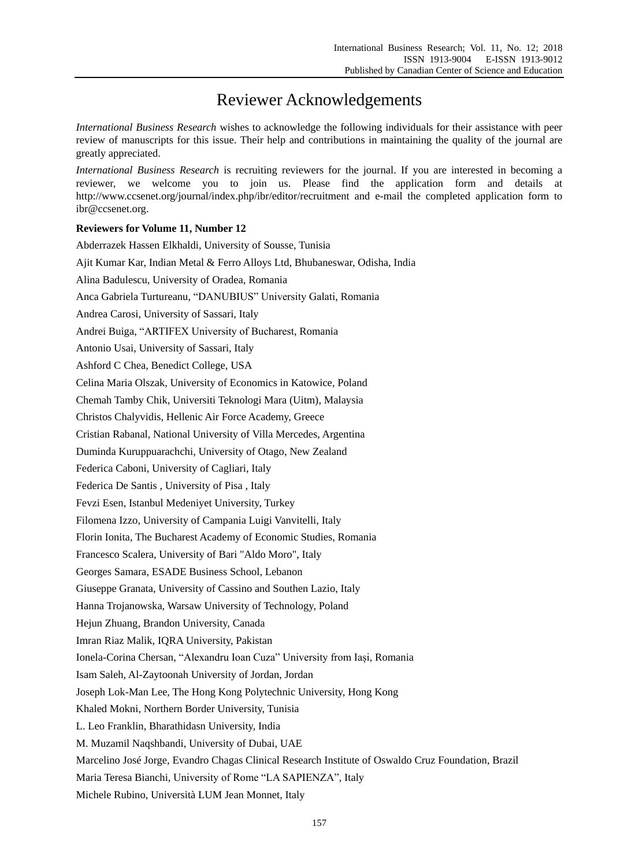## Reviewer Acknowledgements

*International Business Research* wishes to acknowledge the following individuals for their assistance with peer review of manuscripts for this issue. Their help and contributions in maintaining the quality of the journal are greatly appreciated.

*International Business Research* is recruiting reviewers for the journal. If you are interested in becoming a reviewer, we welcome you to join us. Please find the application form and details at http://www.ccsenet.org/journal/index.php/ibr/editor/recruitment and e-mail the completed application form to ibr@ccsenet.org.

## **Reviewers for Volume 11, Number 12**

| Abderrazek Hassen Elkhaldi, University of Sousse, Tunisia                                            |
|------------------------------------------------------------------------------------------------------|
| Ajit Kumar Kar, Indian Metal & Ferro Alloys Ltd, Bhubaneswar, Odisha, India                          |
| Alina Badulescu, University of Oradea, Romania                                                       |
| Anca Gabriela Turtureanu, "DANUBIUS" University Galati, Romania                                      |
| Andrea Carosi, University of Sassari, Italy                                                          |
| Andrei Buiga, "ARTIFEX University of Bucharest, Romania                                              |
| Antonio Usai, University of Sassari, Italy                                                           |
| Ashford C Chea, Benedict College, USA                                                                |
| Celina Maria Olszak, University of Economics in Katowice, Poland                                     |
| Chemah Tamby Chik, Universiti Teknologi Mara (Uitm), Malaysia                                        |
| Christos Chalyvidis, Hellenic Air Force Academy, Greece                                              |
| Cristian Rabanal, National University of Villa Mercedes, Argentina                                   |
| Duminda Kuruppuarachchi, University of Otago, New Zealand                                            |
| Federica Caboni, University of Cagliari, Italy                                                       |
| Federica De Santis, University of Pisa, Italy                                                        |
| Fevzi Esen, Istanbul Medeniyet University, Turkey                                                    |
| Filomena Izzo, University of Campania Luigi Vanvitelli, Italy                                        |
| Florin Ionita, The Bucharest Academy of Economic Studies, Romania                                    |
| Francesco Scalera, University of Bari "Aldo Moro", Italy                                             |
| Georges Samara, ESADE Business School, Lebanon                                                       |
| Giuseppe Granata, University of Cassino and Southen Lazio, Italy                                     |
| Hanna Trojanowska, Warsaw University of Technology, Poland                                           |
| Hejun Zhuang, Brandon University, Canada                                                             |
| Imran Riaz Malik, IQRA University, Pakistan                                                          |
| Ionela-Corina Chersan, "Alexandru Ioan Cuza" University from Iași, Romania                           |
| Isam Saleh, Al-Zaytoonah University of Jordan, Jordan                                                |
| Joseph Lok-Man Lee, The Hong Kong Polytechnic University, Hong Kong                                  |
| Khaled Mokni, Northern Border University, Tunisia                                                    |
| L. Leo Franklin, Bharathidasn University, India                                                      |
| M. Muzamil Naqshbandi, University of Dubai, UAE                                                      |
| Marcelino Jos é Jorge, Evandro Chagas Clinical Research Institute of Oswaldo Cruz Foundation, Brazil |
| Maria Teresa Bianchi, University of Rome "LA SAPIENZA", Italy                                        |
| Michele Rubino, Universit à LUM Jean Monnet, Italy                                                   |
|                                                                                                      |